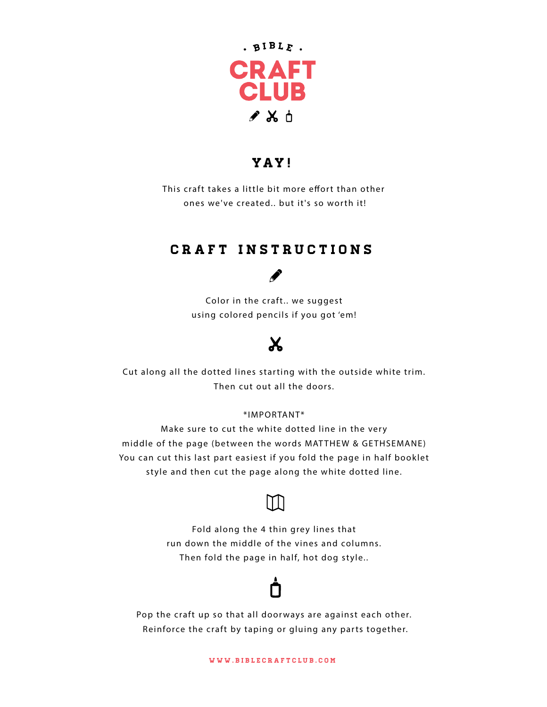

### YAY !

This craft takes a little bit more effort than other ones we've created.. but it's so worth it!

## craft instructions

## S

Color in the craft.. we suggest using colored pencils if you got 'em!

# $\mathbf{X}$

Cut along all the dotted lines starting with the outside white trim. Then cut out all the doors.

#### \*IMPORTANT\*

Make sure to cut the white dotted line in the very middle of the page (between the words MAT THEW & GETHSEMANE) You can cut this last part easiest if you fold the page in half booklet style and then cut the page along the white dotted line.



Fold along the 4 thin grey lines that run down the middle of the vines and columns. Then fold the page in half, hot dog style..



Pop the craft up so that all doorways are against each other. Reinforce the craft by taping or gluing any parts together.

www.biblecraftclub.com